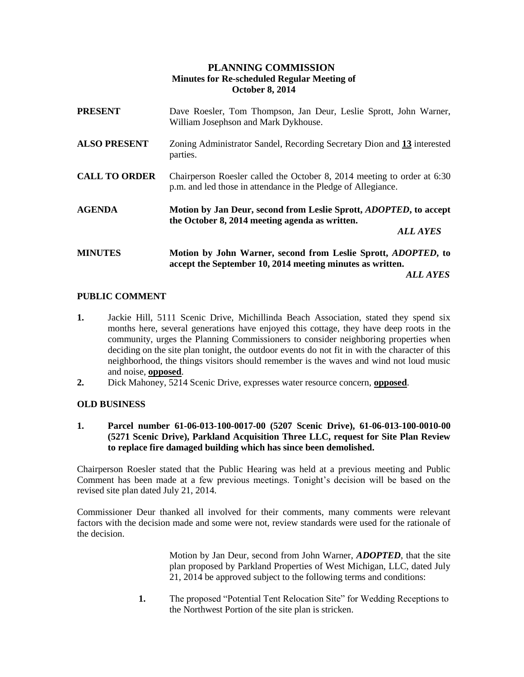# **PLANNING COMMISSION Minutes for Re-scheduled Regular Meeting of October 8, 2014**

| <b>PRESENT</b>       | Dave Roesler, Tom Thompson, Jan Deur, Leslie Sprott, John Warner,<br>William Josephson and Mark Dykhouse.                                             |
|----------------------|-------------------------------------------------------------------------------------------------------------------------------------------------------|
| <b>ALSO PRESENT</b>  | Zoning Administrator Sandel, Recording Secretary Dion and 13 interested<br>parties.                                                                   |
| <b>CALL TO ORDER</b> | Chairperson Roesler called the October 8, 2014 meeting to order at 6:30<br>p.m. and led those in attendance in the Pledge of Allegiance.              |
| <b>AGENDA</b>        | Motion by Jan Deur, second from Leslie Sprott, <i>ADOPTED</i> , to accept<br>the October 8, 2014 meeting agenda as written.<br><b>ALL AYES</b>        |
| <b>MINUTES</b>       | Motion by John Warner, second from Leslie Sprott, <i>ADOPTED</i> , to<br>accept the September 10, 2014 meeting minutes as written.<br><i>ALL AYES</i> |

# **PUBLIC COMMENT**

- **1.** Jackie Hill, 5111 Scenic Drive, Michillinda Beach Association, stated they spend six months here, several generations have enjoyed this cottage, they have deep roots in the community, urges the Planning Commissioners to consider neighboring properties when deciding on the site plan tonight, the outdoor events do not fit in with the character of this neighborhood, the things visitors should remember is the waves and wind not loud music and noise, **opposed**.
- **2.** Dick Mahoney, 5214 Scenic Drive, expresses water resource concern, **opposed**.

# **OLD BUSINESS**

**1. Parcel number 61-06-013-100-0017-00 (5207 Scenic Drive), 61-06-013-100-0010-00 (5271 Scenic Drive), Parkland Acquisition Three LLC, request for Site Plan Review to replace fire damaged building which has since been demolished.**

Chairperson Roesler stated that the Public Hearing was held at a previous meeting and Public Comment has been made at a few previous meetings. Tonight's decision will be based on the revised site plan dated July 21, 2014.

Commissioner Deur thanked all involved for their comments, many comments were relevant factors with the decision made and some were not, review standards were used for the rationale of the decision.

> Motion by Jan Deur, second from John Warner, *ADOPTED*, that the site plan proposed by Parkland Properties of West Michigan, LLC, dated July 21, 2014 be approved subject to the following terms and conditions:

**1.** The proposed "Potential Tent Relocation Site" for Wedding Receptions to the Northwest Portion of the site plan is stricken.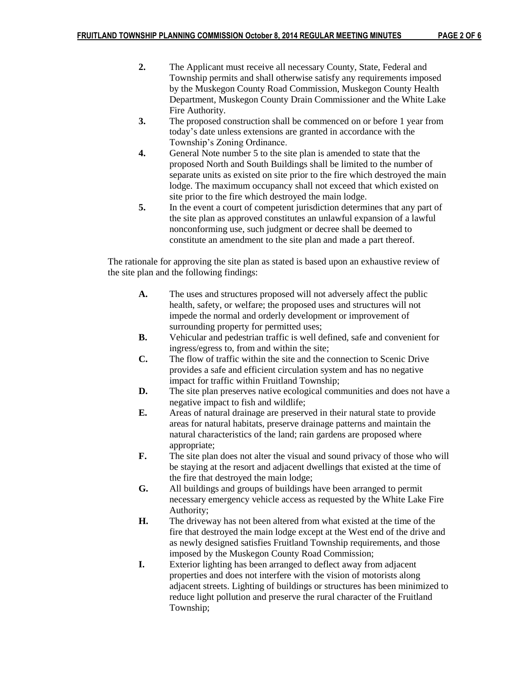- **2.** The Applicant must receive all necessary County, State, Federal and Township permits and shall otherwise satisfy any requirements imposed by the Muskegon County Road Commission, Muskegon County Health Department, Muskegon County Drain Commissioner and the White Lake Fire Authority.
- **3.** The proposed construction shall be commenced on or before 1 year from today's date unless extensions are granted in accordance with the Township's Zoning Ordinance.
- **4.** General Note number 5 to the site plan is amended to state that the proposed North and South Buildings shall be limited to the number of separate units as existed on site prior to the fire which destroyed the main lodge. The maximum occupancy shall not exceed that which existed on site prior to the fire which destroyed the main lodge.
- **5.** In the event a court of competent jurisdiction determines that any part of the site plan as approved constitutes an unlawful expansion of a lawful nonconforming use, such judgment or decree shall be deemed to constitute an amendment to the site plan and made a part thereof.

The rationale for approving the site plan as stated is based upon an exhaustive review of the site plan and the following findings:

- **A.** The uses and structures proposed will not adversely affect the public health, safety, or welfare; the proposed uses and structures will not impede the normal and orderly development or improvement of surrounding property for permitted uses;
- **B.** Vehicular and pedestrian traffic is well defined, safe and convenient for ingress/egress to, from and within the site;
- **C.** The flow of traffic within the site and the connection to Scenic Drive provides a safe and efficient circulation system and has no negative impact for traffic within Fruitland Township;
- **D.** The site plan preserves native ecological communities and does not have a negative impact to fish and wildlife;
- **E.** Areas of natural drainage are preserved in their natural state to provide areas for natural habitats, preserve drainage patterns and maintain the natural characteristics of the land; rain gardens are proposed where appropriate;
- **F.** The site plan does not alter the visual and sound privacy of those who will be staying at the resort and adjacent dwellings that existed at the time of the fire that destroyed the main lodge;
- **G.** All buildings and groups of buildings have been arranged to permit necessary emergency vehicle access as requested by the White Lake Fire Authority;
- **H.** The driveway has not been altered from what existed at the time of the fire that destroyed the main lodge except at the West end of the drive and as newly designed satisfies Fruitland Township requirements, and those imposed by the Muskegon County Road Commission;
- **I.** Exterior lighting has been arranged to deflect away from adjacent properties and does not interfere with the vision of motorists along adjacent streets. Lighting of buildings or structures has been minimized to reduce light pollution and preserve the rural character of the Fruitland Township;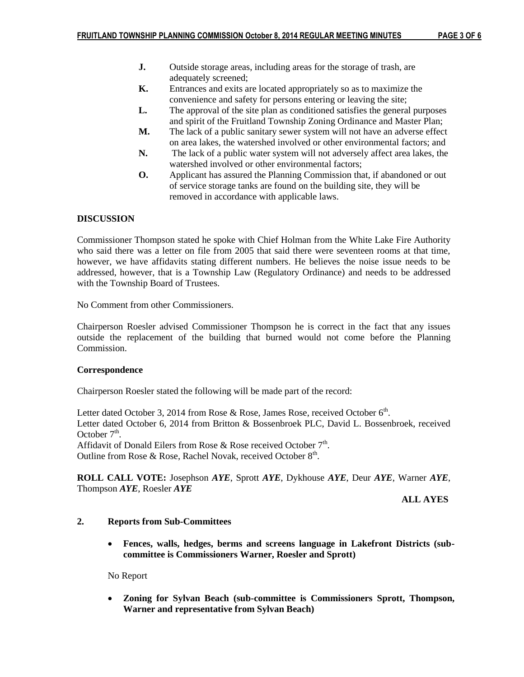- **J.** Outside storage areas, including areas for the storage of trash, are adequately screened;
- **K.** Entrances and exits are located appropriately so as to maximize the convenience and safety for persons entering or leaving the site;
- **L.** The approval of the site plan as conditioned satisfies the general purposes and spirit of the Fruitland Township Zoning Ordinance and Master Plan;
- **M.** The lack of a public sanitary sewer system will not have an adverse effect on area lakes, the watershed involved or other environmental factors; and
- **N.** The lack of a public water system will not adversely affect area lakes, the watershed involved or other environmental factors;
- **O.** Applicant has assured the Planning Commission that, if abandoned or out of service storage tanks are found on the building site, they will be removed in accordance with applicable laws.

# **DISCUSSION**

Commissioner Thompson stated he spoke with Chief Holman from the White Lake Fire Authority who said there was a letter on file from 2005 that said there were seventeen rooms at that time, however, we have affidavits stating different numbers. He believes the noise issue needs to be addressed, however, that is a Township Law (Regulatory Ordinance) and needs to be addressed with the Township Board of Trustees.

No Comment from other Commissioners.

Chairperson Roesler advised Commissioner Thompson he is correct in the fact that any issues outside the replacement of the building that burned would not come before the Planning Commission.

## **Correspondence**

Chairperson Roesler stated the following will be made part of the record:

Letter dated October 3, 2014 from Rose & Rose, James Rose, received October  $6<sup>th</sup>$ . Letter dated October 6, 2014 from Britton & Bossenbroek PLC, David L. Bossenbroek, received October  $7<sup>th</sup>$ . Affidavit of Donald Eilers from Rose & Rose received October  $7<sup>th</sup>$ .

Outline from Rose & Rose, Rachel Novak, received October 8<sup>th</sup>.

**ROLL CALL VOTE:** Josephson *AYE*, Sprott *AYE*, Dykhouse *AYE*, Deur *AYE*, Warner *AYE*, Thompson *AYE*, Roesler *AYE*

 **ALL AYES**

## **2. Reports from Sub-Committees**

 **Fences, walls, hedges, berms and screens language in Lakefront Districts (subcommittee is Commissioners Warner, Roesler and Sprott)**

No Report

 **Zoning for Sylvan Beach (sub-committee is Commissioners Sprott, Thompson, Warner and representative from Sylvan Beach)**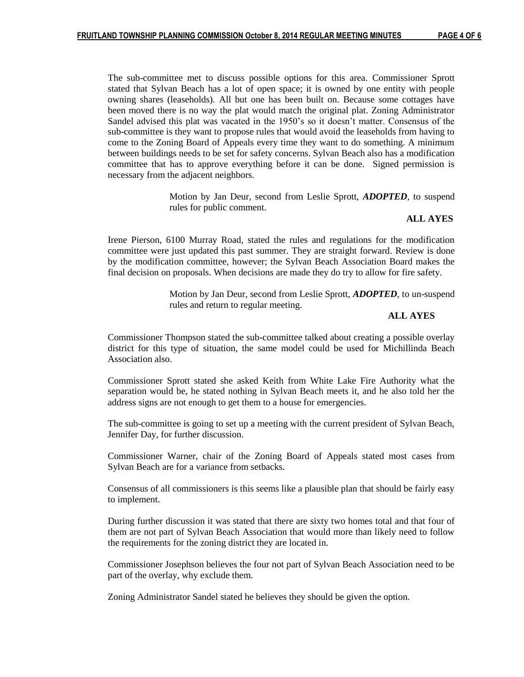The sub-committee met to discuss possible options for this area. Commissioner Sprott stated that Sylvan Beach has a lot of open space; it is owned by one entity with people owning shares (leaseholds). All but one has been built on. Because some cottages have been moved there is no way the plat would match the original plat. Zoning Administrator Sandel advised this plat was vacated in the 1950's so it doesn't matter. Consensus of the sub-committee is they want to propose rules that would avoid the leaseholds from having to come to the Zoning Board of Appeals every time they want to do something. A minimum between buildings needs to be set for safety concerns. Sylvan Beach also has a modification committee that has to approve everything before it can be done. Signed permission is necessary from the adjacent neighbors.

> Motion by Jan Deur, second from Leslie Sprott, *ADOPTED*, to suspend rules for public comment.

### **ALL AYES**

Irene Pierson, 6100 Murray Road, stated the rules and regulations for the modification committee were just updated this past summer. They are straight forward. Review is done by the modification committee, however; the Sylvan Beach Association Board makes the final decision on proposals. When decisions are made they do try to allow for fire safety.

> Motion by Jan Deur, second from Leslie Sprott, *ADOPTED*, to un-suspend rules and return to regular meeting.

#### **ALL AYES**

Commissioner Thompson stated the sub-committee talked about creating a possible overlay district for this type of situation, the same model could be used for Michillinda Beach Association also.

Commissioner Sprott stated she asked Keith from White Lake Fire Authority what the separation would be, he stated nothing in Sylvan Beach meets it, and he also told her the address signs are not enough to get them to a house for emergencies.

The sub-committee is going to set up a meeting with the current president of Sylvan Beach, Jennifer Day, for further discussion.

Commissioner Warner, chair of the Zoning Board of Appeals stated most cases from Sylvan Beach are for a variance from setbacks.

Consensus of all commissioners is this seems like a plausible plan that should be fairly easy to implement.

During further discussion it was stated that there are sixty two homes total and that four of them are not part of Sylvan Beach Association that would more than likely need to follow the requirements for the zoning district they are located in.

Commissioner Josephson believes the four not part of Sylvan Beach Association need to be part of the overlay, why exclude them.

Zoning Administrator Sandel stated he believes they should be given the option.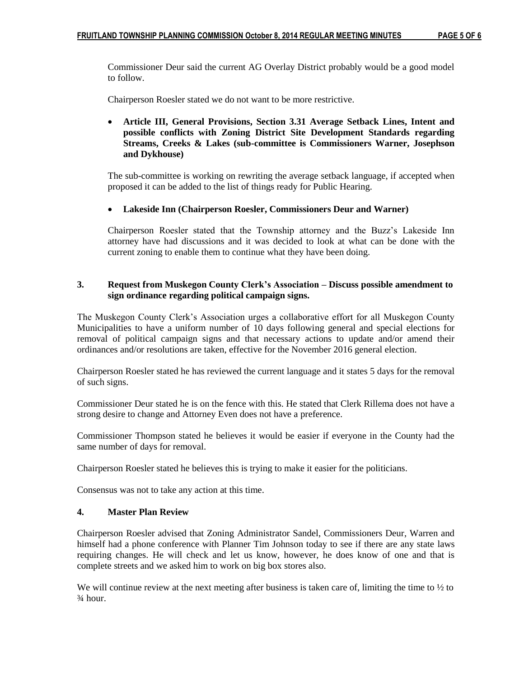Commissioner Deur said the current AG Overlay District probably would be a good model to follow.

Chairperson Roesler stated we do not want to be more restrictive.

 **Article III, General Provisions, Section 3.31 Average Setback Lines, Intent and possible conflicts with Zoning District Site Development Standards regarding Streams, Creeks & Lakes (sub-committee is Commissioners Warner, Josephson and Dykhouse)**

The sub-committee is working on rewriting the average setback language, if accepted when proposed it can be added to the list of things ready for Public Hearing.

## **Lakeside Inn (Chairperson Roesler, Commissioners Deur and Warner)**

Chairperson Roesler stated that the Township attorney and the Buzz's Lakeside Inn attorney have had discussions and it was decided to look at what can be done with the current zoning to enable them to continue what they have been doing.

## **3. Request from Muskegon County Clerk's Association – Discuss possible amendment to sign ordinance regarding political campaign signs.**

The Muskegon County Clerk's Association urges a collaborative effort for all Muskegon County Municipalities to have a uniform number of 10 days following general and special elections for removal of political campaign signs and that necessary actions to update and/or amend their ordinances and/or resolutions are taken, effective for the November 2016 general election.

Chairperson Roesler stated he has reviewed the current language and it states 5 days for the removal of such signs.

Commissioner Deur stated he is on the fence with this. He stated that Clerk Rillema does not have a strong desire to change and Attorney Even does not have a preference.

Commissioner Thompson stated he believes it would be easier if everyone in the County had the same number of days for removal.

Chairperson Roesler stated he believes this is trying to make it easier for the politicians.

Consensus was not to take any action at this time.

## **4. Master Plan Review**

Chairperson Roesler advised that Zoning Administrator Sandel, Commissioners Deur, Warren and himself had a phone conference with Planner Tim Johnson today to see if there are any state laws requiring changes. He will check and let us know, however, he does know of one and that is complete streets and we asked him to work on big box stores also.

We will continue review at the next meeting after business is taken care of, limiting the time to  $\frac{1}{2}$  to ¾ hour.